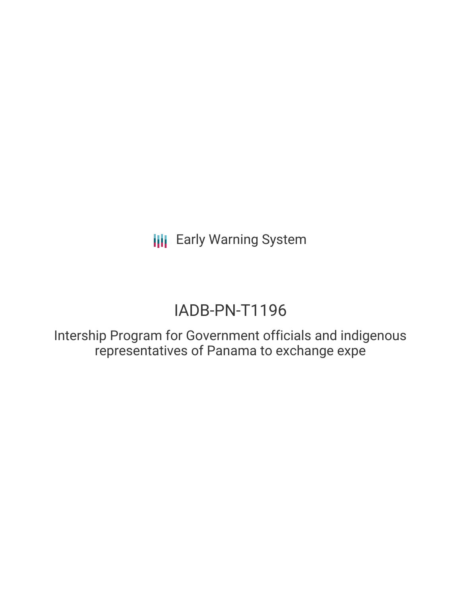**III** Early Warning System

## IADB-PN-T1196

Intership Program for Government officials and indigenous representatives of Panama to exchange expe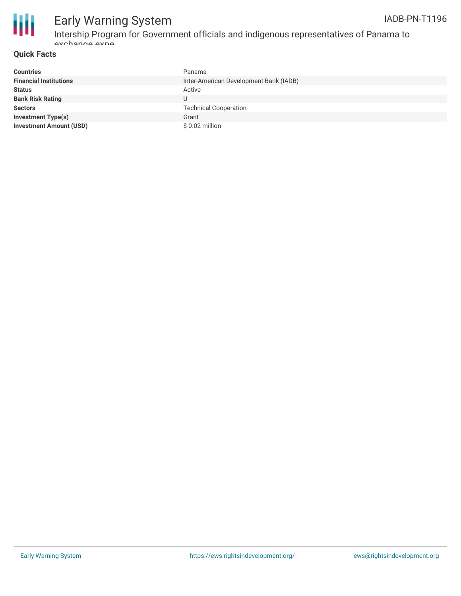



# Early Warning System

Intership Program for Government officials and indigenous representatives of Panama to exchange expe

#### **Quick Facts**

| <b>Countries</b>               | Panama                                 |
|--------------------------------|----------------------------------------|
| <b>Financial Institutions</b>  | Inter-American Development Bank (IADB) |
| <b>Status</b>                  | Active                                 |
| <b>Bank Risk Rating</b>        | U                                      |
| <b>Sectors</b>                 | <b>Technical Cooperation</b>           |
| <b>Investment Type(s)</b>      | Grant                                  |
| <b>Investment Amount (USD)</b> | $$0.02$ million                        |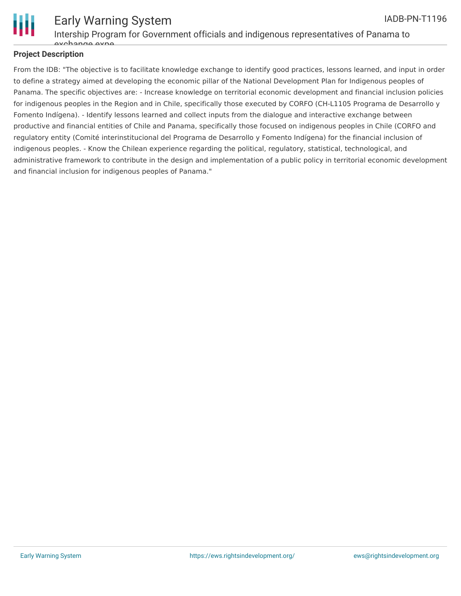

#### Early Warning System Intership Program for Government officials and indigenous representatives of Panama to IADB-PN-T1196

#### **Project Description**

exchange expe

From the IDB: "The objective is to facilitate knowledge exchange to identify good practices, lessons learned, and input in order to define a strategy aimed at developing the economic pillar of the National Development Plan for Indigenous peoples of Panama. The specific objectives are: - Increase knowledge on territorial economic development and financial inclusion policies for indigenous peoples in the Region and in Chile, specifically those executed by CORFO (CH-L1105 Programa de Desarrollo y Fomento Indígena). - Identify lessons learned and collect inputs from the dialogue and interactive exchange between productive and financial entities of Chile and Panama, specifically those focused on indigenous peoples in Chile (CORFO and regulatory entity (Comité interinstitucional del Programa de Desarrollo y Fomento Indígena) for the financial inclusion of indigenous peoples. - Know the Chilean experience regarding the political, regulatory, statistical, technological, and administrative framework to contribute in the design and implementation of a public policy in territorial economic development and financial inclusion for indigenous peoples of Panama."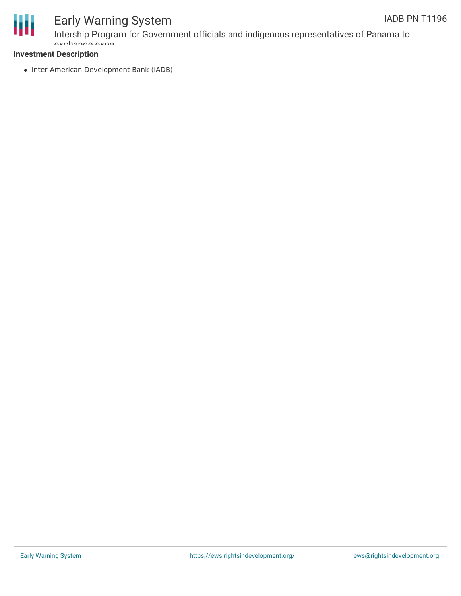

### Early Warning System

Intership Program for Government officials and indigenous representatives of Panama to exchange expe

#### **Investment Description**

• Inter-American Development Bank (IADB)